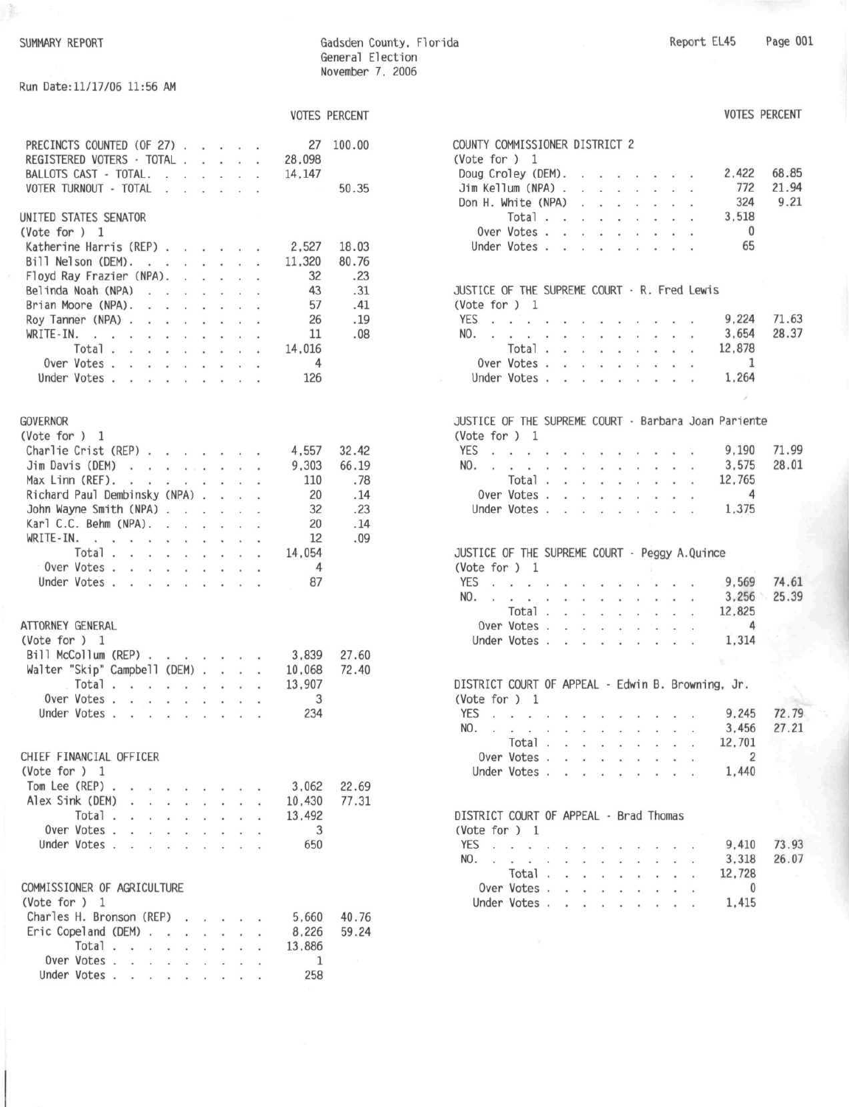¥.

Gadsden County. Florida General Election November 7, 2006

Run Date:11/17/06 11:56 AM

|                                                                                                           |                      |                                       |                             |                                          |                                              |    |                 | <b>VOTES PERCENT</b> |
|-----------------------------------------------------------------------------------------------------------|----------------------|---------------------------------------|-----------------------------|------------------------------------------|----------------------------------------------|----|-----------------|----------------------|
| PRECINCTS COUNTED (OF 27)                                                                                 |                      |                                       |                             |                                          |                                              |    | 27              | 100.00               |
| REGISTERED VOTERS - TOTAL .                                                                               |                      |                                       | $\sim$                      |                                          | $\sim$ $\sim$                                | ç. | 28,098          |                      |
| BALLOTS CAST - TOTAL.                                                                                     |                      | $\sim$                                | <b>CONTRACTOR</b>           |                                          | <b>Contract</b>                              |    | 14,147          |                      |
| VOTER TURNOUT - TOTAL .                                                                                   |                      | $\mathbf{R}$                          | $\sim$                      |                                          | $\bullet$ $\bullet$                          |    |                 | 50.35                |
|                                                                                                           |                      |                                       |                             |                                          |                                              |    |                 |                      |
| UNITED STATES SENATOR                                                                                     |                      |                                       |                             |                                          |                                              |    |                 |                      |
| (Vote for $) 1$                                                                                           |                      |                                       |                             |                                          |                                              |    |                 |                      |
| Katherine Harris (REP).                                                                                   |                      | $\sim$                                |                             |                                          | $\cdot$ $\cdot$                              |    | 2,527           | 18.03                |
| Bill Nelson (DEM).<br>$(400 - 40 - 64)$                                                                   |                      |                                       | and in                      |                                          | <b>SALE</b>                                  |    | 11,320          | 80.76                |
| Floyd Ray Frazier (NPA).                                                                                  |                      | $\alpha$                              | ac.                         | ×.                                       | $\sim$                                       |    | 32              | .23                  |
| Belinda Noah (NPA)<br>$\mathbf{r} = \mathbf{r} - \mathbf{r}$                                              |                      |                                       | $\ddot{\phantom{0}}$        | $\dddot{\phantom{1}}$                    |                                              |    | 43              | .31                  |
| Brian Moore (NPA).<br>$\ddot{\phantom{a}}$                                                                |                      | $\sim$                                | W.                          | S.                                       |                                              | Ý. | 57              | .41                  |
| Roy Tanner (NPA).<br>$\sim$                                                                               |                      | $\overline{a}$                        | $\mathcal{L}(\mathcal{C})$  | $\mathbf{r}$                             | $\sigma_{\rm H}$                             |    | 26              | .19                  |
| WRITE-IN.<br>$\lambda$<br>2012/09/12 12:00<br>00 mm                                                       |                      |                                       | $\sim$                      | $\epsilon$                               | $\mathcal{L}(\mathbf{R}) \subset \mathbb{R}$ |    | 11              | .08                  |
| Total<br>$\cdot$ $\cdot$ $\cdot$                                                                          |                      | $\sim$                                | $\overline{a}$              | ¥,                                       | $\sim$                                       |    | 14.016          |                      |
| Over Votes<br>245.000                                                                                     |                      | 22                                    | $\mathcal{L}^{\mathcal{N}}$ | $\mathcal{Q}$                            | <b>SAS</b>                                   |    | 4               |                      |
| Under Votes .<br>and the con-                                                                             |                      | <b>CONTRACTOR</b>                     |                             |                                          |                                              |    | 126             |                      |
|                                                                                                           |                      |                                       |                             |                                          |                                              |    |                 |                      |
| <b>GOVERNOR</b>                                                                                           |                      |                                       |                             |                                          |                                              |    |                 |                      |
| (Vote for $) 1$                                                                                           |                      |                                       |                             |                                          |                                              |    |                 |                      |
| Charlie Crist (REP)                                                                                       |                      |                                       |                             |                                          |                                              |    | 4,557           | 32.42                |
| Jim Davis (DEM)                                                                                           |                      |                                       |                             |                                          |                                              |    | 9,303           | 66.19                |
| Max Linn (REF).<br>w.<br>$\mathcal{C}(\mathbf{r}) = -\mathcal{V}$                                         |                      | $\mathcal{F}=\mathcal{F}$             |                             | $\mathcal{C}^{\mathcal{C}}_{\mathbf{m}}$ |                                              |    | 110             | .78                  |
| Richard Paul Dembinsky (NPA).                                                                             |                      |                                       |                             |                                          |                                              |    | 20              | .14                  |
| John Wayne Smith (NPA)                                                                                    |                      |                                       |                             |                                          |                                              |    | 32              | .23                  |
| Karl C.C. Behm (NPA)                                                                                      |                      |                                       |                             | ¥                                        | $\sim$                                       |    | 20              | .14                  |
| WRITE-IN.                                                                                                 |                      | .                                     |                             |                                          | $\mathcal{L}$                                |    | 12              | .09                  |
| $\mathbf{x} = \mathbf{y} \mathbf{x} = \mathbf{x} - \mathbf{y}$ . $\mathbf{x}$<br>$\sim$<br>$\mathbf{w}$ . |                      |                                       |                             | $\sim$                                   | $\sim$                                       |    |                 |                      |
| Total.<br>$\alpha$<br>$\mathcal{L}(\mathbf{r})$ . In particular,                                          |                      | CALL:                                 | ×.                          | ×,                                       |                                              |    | 14.054          |                      |
| Over Votes .<br>$\mathcal{L}$<br>.                                                                        |                      |                                       |                             |                                          | $\sim$                                       |    | $\overline{4}$  |                      |
| Under Votes                                                                                               |                      |                                       |                             |                                          | $\sim$ $\sim$                                |    | 87              |                      |
| ATTORNEY GENERAL<br>(Vote for )<br>$\mathbf{1}$<br>Bill McCollum (REP).<br>Walter "Skip" Campbell (DEM) . |                      |                                       |                             | $\ddot{\phantom{a}}$                     |                                              |    | 3,839<br>10.068 | 27.60<br>72.40       |
| Total<br>$\ddot{i}$ $\ddot{j}$                                                                            |                      | .                                     |                             |                                          |                                              | Q. | 13,907          |                      |
| Over Votes.<br>$\sim$<br>$\sim$                                                                           | ä.                   | $\sim$                                | ç.                          | s.                                       |                                              |    | 3               |                      |
| Under Votes .<br>$\mathcal{A}$<br>$\sim$                                                                  | $\ddot{\phantom{a}}$ | $\langle \cdot, \cdot \rangle$        | ¥,                          | $\alpha$                                 | $\sim 10$                                    |    | 234             |                      |
| CHIEF FINANCIAL OFFICER<br>(Vote for $) 1$                                                                |                      |                                       |                             |                                          |                                              |    |                 |                      |
| Tom Lee (REP)                                                                                             |                      | $\ddot{\phantom{1}}$                  |                             |                                          |                                              |    | 3.062           | 22.69                |
| Alex Sink (DEM)<br>$\sim$<br>$\mathcal{L}^{\mathcal{L}}$                                                  | Ġ.                   | 88.                                   | g)                          | 综                                        | a)                                           | ų. | 10,430          | 77.31                |
| Total.<br>$\sim$<br>an.                                                                                   | ù.                   | ngs)                                  | ý.                          |                                          |                                              |    | 13.492          |                      |
| Over Votes .                                                                                              |                      |                                       |                             |                                          |                                              |    | 3               |                      |
| Under Votes .                                                                                             |                      |                                       |                             |                                          |                                              |    | 650             |                      |
|                                                                                                           |                      |                                       |                             |                                          |                                              |    |                 |                      |
| COMMISSIONER OF AGRICULTURE<br>(Vote for $) 1$                                                            |                      |                                       |                             |                                          |                                              |    |                 |                      |
| Charles H. Bronson (REP)                                                                                  |                      | 12245                                 | ù.                          |                                          |                                              |    | 5.660           | 40.76                |
| Eric Copeland (DEM) .                                                                                     |                      |                                       |                             |                                          |                                              |    | 8.226           | 59.24                |
| Total.                                                                                                    | ×                    | $\langle \sigma_{\rm{eff}} \rangle$ . | ×.                          |                                          |                                              |    | 13.886          |                      |
| ı.<br>¥.<br>Over Votes.                                                                                   | ÷,                   | $\mathcal{L}_{\mathbf{z}}$            | ï                           |                                          |                                              |    | 1               | mar.                 |
| g.<br>$\mathcal{N}_{\mathbf{m}}$<br>Under Votes                                                           |                      |                                       |                             |                                          |                                              |    |                 |                      |
| $\mathbf{R}^{(1)}$                                                                                        |                      | <b>CES</b>                            | Ŷ.                          |                                          |                                              |    | 258             |                      |

|                                                                         |                                                                                        |                          |               |                             |                   |    |                                                                                                                                                                                                                                                                                                                                                                                                                                                               |                |                           |                            |                | <b>VOTES PERCENT</b> |  |
|-------------------------------------------------------------------------|----------------------------------------------------------------------------------------|--------------------------|---------------|-----------------------------|-------------------|----|---------------------------------------------------------------------------------------------------------------------------------------------------------------------------------------------------------------------------------------------------------------------------------------------------------------------------------------------------------------------------------------------------------------------------------------------------------------|----------------|---------------------------|----------------------------|----------------|----------------------|--|
| COUNTY COMMISSIONER DISTRICT 2                                          |                                                                                        |                          |               |                             |                   |    |                                                                                                                                                                                                                                                                                                                                                                                                                                                               |                |                           |                            |                |                      |  |
| (Vote for $)$ 1                                                         |                                                                                        |                          |               |                             |                   |    |                                                                                                                                                                                                                                                                                                                                                                                                                                                               |                |                           |                            |                |                      |  |
| Doug Croley (DEM).                                                      |                                                                                        |                          |               |                             |                   |    |                                                                                                                                                                                                                                                                                                                                                                                                                                                               |                |                           |                            |                | 2,422 68.85          |  |
| Jim Kellum (NPA)                                                        |                                                                                        |                          |               |                             |                   |    |                                                                                                                                                                                                                                                                                                                                                                                                                                                               |                | $2 - 2$                   |                            |                | 772 21.94            |  |
| Don H. White (NPA)                                                      |                                                                                        |                          |               |                             |                   |    |                                                                                                                                                                                                                                                                                                                                                                                                                                                               |                | $\mathbf{r} = \mathbf{a}$ |                            | 324            | 9.21                 |  |
|                                                                         | Total $\cdots$                                                                         |                          |               |                             |                   |    | $\mathbf{x} = -\mathbf{y}$                                                                                                                                                                                                                                                                                                                                                                                                                                    |                |                           | $\mathbf{z} = -\mathbf{z}$ | 3.518          |                      |  |
| Over Votes                                                              |                                                                                        |                          |               |                             |                   |    |                                                                                                                                                                                                                                                                                                                                                                                                                                                               |                | $\sim$                    |                            | $\overline{0}$ |                      |  |
| Under Votes                                                             |                                                                                        |                          |               |                             |                   |    |                                                                                                                                                                                                                                                                                                                                                                                                                                                               |                |                           |                            | 65             |                      |  |
| JUSTICE OF THE SUPREME COURT - R. Fred Lewis                            |                                                                                        |                          |               |                             |                   |    |                                                                                                                                                                                                                                                                                                                                                                                                                                                               |                |                           |                            |                |                      |  |
| (Vote for $) 1$                                                         |                                                                                        |                          |               |                             |                   |    |                                                                                                                                                                                                                                                                                                                                                                                                                                                               |                |                           |                            |                |                      |  |
| YES                                                                     |                                                                                        |                          |               |                             |                   |    | the track of the track                                                                                                                                                                                                                                                                                                                                                                                                                                        |                |                           |                            | 9,224          | 71.63                |  |
| NO.                                                                     | and in                                                                                 |                          |               |                             |                   |    | $\mathbf{x} = \mathbf{a} \mathbf{e}^{\top} \quad \mathbf{x} = \mathbf{a} \quad \mathbf{e}^{\top} \quad \mathbf{e}^{\top} \quad \mathbf{e}^{\top} \quad \mathbf{e}^{\top} \quad \mathbf{e}^{\top} \quad \mathbf{e}^{\top} \quad \mathbf{e}^{\top} \quad \mathbf{e}^{\top} \quad \mathbf{e}^{\top} \quad \mathbf{e}^{\top} \quad \mathbf{e}^{\top} \quad \mathbf{e}^{\top} \quad \mathbf{e}^{\top} \quad \mathbf{e}^{\top} \quad \mathbf{e}^{\top} \quad \math$ |                |                           |                            | 3,654          | 28.37                |  |
|                                                                         | Total $\cdots$ $\cdots$                                                                |                          |               |                             |                   |    |                                                                                                                                                                                                                                                                                                                                                                                                                                                               |                |                           | $\cdot$ $\cdot$            | 12,878         |                      |  |
| Over Votes                                                              |                                                                                        |                          |               |                             |                   |    |                                                                                                                                                                                                                                                                                                                                                                                                                                                               | <b>William</b> | $\mathbf{r}$              |                            | $\mathbf{1}$   |                      |  |
| Under Votes                                                             |                                                                                        |                          |               |                             |                   | W. |                                                                                                                                                                                                                                                                                                                                                                                                                                                               |                |                           | $x = -x$                   | 1,264          |                      |  |
|                                                                         |                                                                                        |                          |               |                             |                   |    |                                                                                                                                                                                                                                                                                                                                                                                                                                                               |                |                           |                            |                |                      |  |
|                                                                         |                                                                                        |                          |               |                             |                   |    |                                                                                                                                                                                                                                                                                                                                                                                                                                                               |                |                           |                            |                |                      |  |
| JUSTICE OF THE SUPREME COURT - Barbara Joan Pariente<br>(Vote for $)$ 1 |                                                                                        |                          |               |                             |                   |    |                                                                                                                                                                                                                                                                                                                                                                                                                                                               |                |                           |                            |                |                      |  |
| YES                                                                     |                                                                                        |                          |               |                             |                   |    |                                                                                                                                                                                                                                                                                                                                                                                                                                                               |                |                           |                            | 9.190          | 71.99                |  |
| NO.                                                                     |                                                                                        |                          |               |                             |                   |    |                                                                                                                                                                                                                                                                                                                                                                                                                                                               |                |                           |                            | 3,575          | 28.01                |  |
|                                                                         | Total.                                                                                 |                          |               |                             |                   |    | Date that they have been been been                                                                                                                                                                                                                                                                                                                                                                                                                            |                |                           |                            | 12,765         |                      |  |
| Over Votes.                                                             |                                                                                        |                          | $\sim$ $\sim$ |                             | 19400 1940        |    | $\alpha$                                                                                                                                                                                                                                                                                                                                                                                                                                                      |                |                           | $\sim$                     | $\overline{4}$ |                      |  |
| Under Votes                                                             |                                                                                        |                          |               |                             |                   |    |                                                                                                                                                                                                                                                                                                                                                                                                                                                               |                | $\sim$ $\sim$ $\sim$      |                            | 1,375          |                      |  |
|                                                                         |                                                                                        |                          |               |                             |                   |    |                                                                                                                                                                                                                                                                                                                                                                                                                                                               |                |                           |                            |                |                      |  |
| JUSTICE OF THE SUPREME COURT - Peggy A.Quince                           |                                                                                        |                          |               |                             |                   |    |                                                                                                                                                                                                                                                                                                                                                                                                                                                               |                |                           |                            |                |                      |  |
| (Vote for ) 1                                                           |                                                                                        |                          |               |                             |                   |    |                                                                                                                                                                                                                                                                                                                                                                                                                                                               |                |                           |                            |                |                      |  |
| YES                                                                     |                                                                                        |                          |               |                             |                   |    |                                                                                                                                                                                                                                                                                                                                                                                                                                                               |                |                           |                            |                | 9,569 74.61          |  |
| NO.                                                                     |                                                                                        |                          |               |                             |                   |    |                                                                                                                                                                                                                                                                                                                                                                                                                                                               |                |                           |                            |                | 3,256 25.39          |  |
|                                                                         | Total.                                                                                 |                          | $\sim$ $\sim$ |                             | $-100$            |    | and the second                                                                                                                                                                                                                                                                                                                                                                                                                                                |                |                           |                            | 12,825         |                      |  |
| Over Votes                                                              |                                                                                        |                          |               |                             |                   |    |                                                                                                                                                                                                                                                                                                                                                                                                                                                               |                |                           |                            | $\overline{4}$ |                      |  |
| Under Votes                                                             |                                                                                        |                          |               |                             |                   |    |                                                                                                                                                                                                                                                                                                                                                                                                                                                               |                |                           |                            | 1,314          |                      |  |
|                                                                         |                                                                                        |                          |               |                             |                   |    |                                                                                                                                                                                                                                                                                                                                                                                                                                                               |                |                           |                            |                |                      |  |
| DISTRICT COURT OF APPEAL - Edwin B. Browning, Jr.                       |                                                                                        |                          |               |                             |                   |    |                                                                                                                                                                                                                                                                                                                                                                                                                                                               |                |                           |                            |                |                      |  |
| (Vote for ) 1                                                           |                                                                                        |                          |               |                             |                   |    |                                                                                                                                                                                                                                                                                                                                                                                                                                                               |                |                           |                            |                |                      |  |
| <b>YES</b>                                                              | a non action the action of notice actions                                              |                          |               |                             |                   |    |                                                                                                                                                                                                                                                                                                                                                                                                                                                               |                |                           |                            | 9,245          | 72.79                |  |
| NO. .                                                                   | $\alpha \in \mathbb{R}^n$ . In                                                         |                          |               | $\bullet$                   |                   |    |                                                                                                                                                                                                                                                                                                                                                                                                                                                               |                |                           |                            |                | 3,456 27.21          |  |
|                                                                         | Total.                                                                                 |                          | $\mathbf{A}$  |                             | $\cdot$ $\cdot$   |    |                                                                                                                                                                                                                                                                                                                                                                                                                                                               |                |                           |                            | 12,701         |                      |  |
| Over Votes .                                                            |                                                                                        |                          | 11.40         | $\mathcal{U}$               | <b>CONTRACTOR</b> | à. |                                                                                                                                                                                                                                                                                                                                                                                                                                                               | W              | $\sim$                    |                            | $\overline{2}$ |                      |  |
| Under Votes .                                                           |                                                                                        |                          |               | or in                       |                   |    |                                                                                                                                                                                                                                                                                                                                                                                                                                                               |                |                           |                            | 1,440          |                      |  |
|                                                                         |                                                                                        |                          |               |                             |                   |    |                                                                                                                                                                                                                                                                                                                                                                                                                                                               |                |                           |                            |                |                      |  |
| DISTRICT COURT OF APPEAL - Brad Thomas<br>(Vote for ) 1                 |                                                                                        |                          |               |                             |                   |    |                                                                                                                                                                                                                                                                                                                                                                                                                                                               |                |                           |                            |                |                      |  |
| <b>YES</b><br>- 191                                                     | $\begin{array}{ccccccccccccc} \bullet & & \bullet & & \bullet & & \bullet \end{array}$ |                          |               |                             |                   |    |                                                                                                                                                                                                                                                                                                                                                                                                                                                               |                |                           |                            | 9,410          | 73.93                |  |
| $NO.$                                                                   | œ.                                                                                     | $\mathcal{C}_\mathbf{a}$ | S.            | $\mathcal{R}^{\mathcal{C}}$ |                   |    |                                                                                                                                                                                                                                                                                                                                                                                                                                                               |                |                           |                            | 3,318          | 26.07                |  |
|                                                                         | Total.                                                                                 |                          | Y.            | $\sim$                      | $\sim$            |    |                                                                                                                                                                                                                                                                                                                                                                                                                                                               |                |                           |                            | 12,728         |                      |  |
| Over Votes .                                                            |                                                                                        |                          |               | $\ddot{\phantom{a}}$        |                   |    |                                                                                                                                                                                                                                                                                                                                                                                                                                                               |                |                           |                            | $\overline{0}$ |                      |  |
| Under Votes .                                                           |                                                                                        |                          | ä,            | $\alpha$                    | ò.                |    |                                                                                                                                                                                                                                                                                                                                                                                                                                                               |                |                           |                            | 1,415          |                      |  |
|                                                                         |                                                                                        |                          |               |                             |                   |    |                                                                                                                                                                                                                                                                                                                                                                                                                                                               |                |                           |                            |                |                      |  |
|                                                                         |                                                                                        |                          |               |                             |                   |    |                                                                                                                                                                                                                                                                                                                                                                                                                                                               |                |                           |                            |                |                      |  |